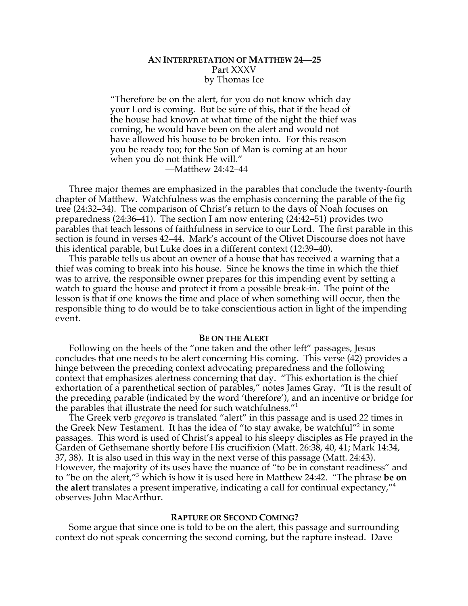# **AN INTERPRETATION OF MATTHEW 24—25** Part XXXV by Thomas Ice

"Therefore be on the alert, for you do not know which day your Lord is coming. But be sure of this, that if the head of the house had known at what time of the night the thief was coming, he would have been on the alert and would not have allowed his house to be broken into. For this reason you be ready too; for the Son of Man is coming at an hour when you do not think He will."

—Matthew 24:42–44

Three major themes are emphasized in the parables that conclude the twenty-fourth chapter of Matthew. Watchfulness was the emphasis concerning the parable of the fig tree (24:32–34). The comparison of Christ's return to the days of Noah focuses on preparedness (24:36–41). The section I am now entering (24:42–51) provides two parables that teach lessons of faithfulness in service to our Lord. The first parable in this section is found in verses 42–44. Mark's account of the Olivet Discourse does not have this identical parable, but Luke does in a different context (12:39–40).

This parable tells us about an owner of a house that has received a warning that a thief was coming to break into his house. Since he knows the time in which the thief was to arrive, the responsible owner prepares for this impending event by setting a watch to guard the house and protect it from a possible break-in. The point of the lesson is that if one knows the time and place of when something will occur, then the responsible thing to do would be to take conscientious action in light of the impending event.

#### **BE ON THE ALERT**

Following on the heels of the "one taken and the other left" passages, Jesus concludes that one needs to be alert concerning His coming. This verse (42) provides a hinge between the preceding context advocating preparedness and the following context that emphasizes alertness concerning that day. "This exhortation is the chief exhortation of a parenthetical section of parables," notes James Gray. "It is the result of the preceding parable (indicated by the word 'therefore'), and an incentive or bridge for the parables that illustrate the need for such watchfulness."<sup>1</sup>

The Greek verb *gregoreo* is translated "alert" in this passage and is used 22 times in the Greek New Testament. It has the idea of "to stay awake, be watchful"<sup>2</sup> in some passages. This word is used of Christ's appeal to his sleepy disciples as He prayed in the Garden of Gethsemane shortly before His crucifixion (Matt. 26:38, 40, 41; Mark 14:34, 37, 38). It is also used in this way in the next verse of this passage (Matt. 24:43). However, the majority of its uses have the nuance of "to be in constant readiness" and to "be on the alert,"<sup>3</sup> which is how it is used here in Matthew 24:42. "The phrase **be on the alert** translates a present imperative, indicating a call for continual expectancy,"<sup>4</sup> observes John MacArthur.

## **RAPTURE OR SECOND COMING?**

Some argue that since one is told to be on the alert, this passage and surrounding context do not speak concerning the second coming, but the rapture instead. Dave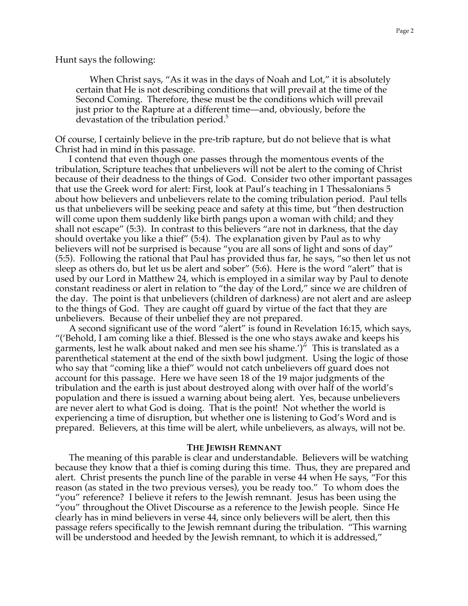Hunt says the following:

When Christ says, "As it was in the days of Noah and Lot," it is absolutely certain that He is not describing conditions that will prevail at the time of the Second Coming. Therefore, these must be the conditions which will prevail just prior to the Rapture at a different time—and, obviously, before the devastation of the tribulation period.<sup>5</sup>

Of course, I certainly believe in the pre-trib rapture, but do not believe that is what Christ had in mind in this passage.

I contend that even though one passes through the momentous events of the tribulation, Scripture teaches that unbelievers will not be alert to the coming of Christ because of their deadness to the things of God. Consider two other important passages that use the Greek word for alert: First, look at Paul's teaching in 1 Thessalonians 5 about how believers and unbelievers relate to the coming tribulation period. Paul tells us that unbelievers will be seeking peace and safety at this time, but "then destruction will come upon them suddenly like birth pangs upon a woman with child; and they shall not escape" (5:3). In contrast to this believers "are not in darkness, that the day should overtake you like a thief" (5:4). The explanation given by Paul as to why believers will not be surprised is because "you are all sons of light and sons of day" (5:5). Following the rational that Paul has provided thus far, he says, "so then let us not sleep as others do, but let us be alert and sober" (5:6). Here is the word "alert" that is used by our Lord in Matthew 24, which is employed in a similar way by Paul to denote constant readiness or alert in relation to "the day of the Lord," since we are children of the day. The point is that unbelievers (children of darkness) are not alert and are asleep to the things of God. They are caught off guard by virtue of the fact that they are unbelievers. Because of their unbelief they are not prepared.

A second significant use of the word "alert" is found in Revelation 16:15, which says, "('Behold, I am coming like a thief. Blessed is the one who stays awake and keeps his garments, lest he walk about naked and men see his shame.')" This is translated as a parenthetical statement at the end of the sixth bowl judgment. Using the logic of those who say that "coming like a thief" would not catch unbelievers off guard does not account for this passage. Here we have seen 18 of the 19 major judgments of the tribulation and the earth is just about destroyed along with over half of the world's population and there is issued a warning about being alert. Yes, because unbelievers are never alert to what God is doing. That is the point! Not whether the world is experiencing a time of disruption, but whether one is listening to God's Word and is prepared. Believers, at this time will be alert, while unbelievers, as always, will not be.

#### **THE JEWISH REMNANT**

The meaning of this parable is clear and understandable. Believers will be watching because they know that a thief is coming during this time. Thus, they are prepared and alert. Christ presents the punch line of the parable in verse 44 when He says, "For this reason (as stated in the two previous verses), you be ready too." To whom does the "you" reference? I believe it refers to the Jewish remnant. Jesus has been using the "you" throughout the Olivet Discourse as a reference to the Jewish people. Since He clearly has in mind believers in verse 44, since only believers will be alert, then this passage refers specifically to the Jewish remnant during the tribulation. "This warning will be understood and heeded by the Jewish remnant, to which it is addressed,"